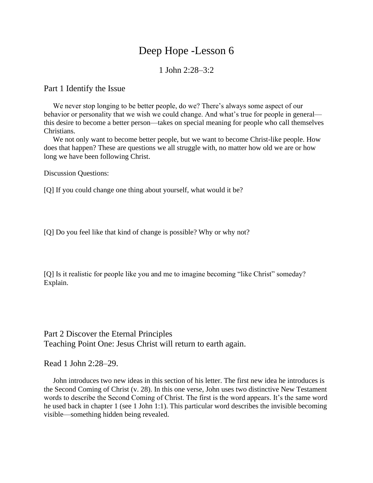# Deep Hope -Lesson 6

## 1 John 2:28–3:2

#### Part 1 Identify the Issue

 We never stop longing to be better people, do we? There's always some aspect of our behavior or personality that we wish we could change. And what's true for people in general this desire to become a better person—takes on special meaning for people who call themselves Christians.

 We not only want to become better people, but we want to become Christ-like people. How does that happen? These are questions we all struggle with, no matter how old we are or how long we have been following Christ.

Discussion Questions:

[Q] If you could change one thing about yourself, what would it be?

[Q] Do you feel like that kind of change is possible? Why or why not?

[Q] Is it realistic for people like you and me to imagine becoming "like Christ" someday? Explain.

Part 2 Discover the Eternal Principles Teaching Point One: Jesus Christ will return to earth again.

Read 1 John 2:28–29.

 John introduces two new ideas in this section of his letter. The first new idea he introduces is the Second Coming of Christ (v. 28). In this one verse, John uses two distinctive New Testament words to describe the Second Coming of Christ. The first is the word appears. It's the same word he used back in chapter 1 (see 1 John 1:1). This particular word describes the invisible becoming visible—something hidden being revealed.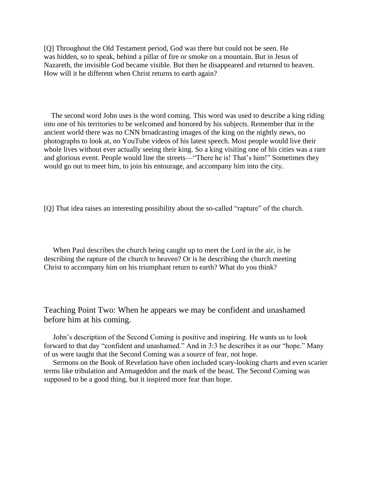[Q] Throughout the Old Testament period, God was there but could not be seen. He was hidden, so to speak, behind a pillar of fire or smoke on a mountain. But in Jesus of Nazareth, the invisible God became visible. But then he disappeared and returned to heaven. How will it be different when Christ returns to earth again?

 The second word John uses is the word coming. This word was used to describe a king riding into one of his territories to be welcomed and honored by his subjects. Remember that in the ancient world there was no CNN broadcasting images of the king on the nightly news, no photographs to look at, no YouTube videos of his latest speech. Most people would live their whole lives without ever actually seeing their king. So a king visiting one of his cities was a rare and glorious event. People would line the streets—"There he is! That's him!" Sometimes they would go out to meet him, to join his entourage, and accompany him into the city.

[Q] That idea raises an interesting possibility about the so-called "rapture" of the church.

 When Paul describes the church being caught up to meet the Lord in the air, is he describing the rapture of the church to heaven? Or is he describing the church meeting Christ to accompany him on his triumphant return to earth? What do you think?

Teaching Point Two: When he appears we may be confident and unashamed before him at his coming.

 John's description of the Second Coming is positive and inspiring. He wants us to look forward to that day "confident and unashamed." And in 3:3 he describes it as our "hope." Many of us were taught that the Second Coming was a source of fear, not hope.

 Sermons on the Book of Revelation have often included scary-looking charts and even scarier terms like tribulation and Armageddon and the mark of the beast. The Second Coming was supposed to be a good thing, but it inspired more fear than hope.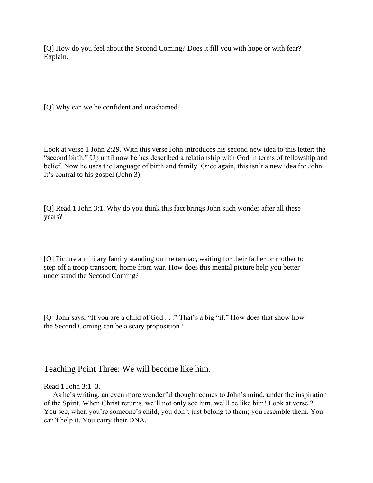[Q] How do you feel about the Second Coming? Does it fill you with hope or with fear? Explain.

[Q] Why can we be confident and unashamed?

Look at verse 1 John 2:29. With this verse John introduces his second new idea to this letter: the "second birth." Up until now he has described a relationship with God in terms of fellowship and belief. Now he uses the language of birth and family. Once again, this isn't a new idea for John. It's central to his gospel (John 3).

[Q] Read 1 John 3:1. Why do you think this fact brings John such wonder after all these years?

[Q] Picture a military family standing on the tarmac, waiting for their father or mother to step off a troop transport, home from war. How does this mental picture help you better understand the Second Coming?

[Q] John says, "If you are a child of God . . ." That's a big "if." How does that show how the Second Coming can be a scary proposition?

Teaching Point Three: We will become like him.

### Read 1 John 3:1–3.

 As he's writing, an even more wonderful thought comes to John's mind, under the inspiration of the Spirit. When Christ returns, we'll not only see him, we'll be like him! Look at verse 2. You see, when you're someone's child, you don't just belong to them; you resemble them. You can't help it. You carry their DNA.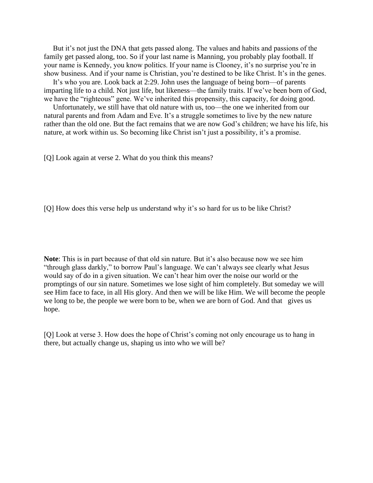But it's not just the DNA that gets passed along. The values and habits and passions of the family get passed along, too. So if your last name is Manning, you probably play football. If your name is Kennedy, you know politics. If your name is Clooney, it's no surprise you're in show business. And if your name is Christian, you're destined to be like Christ. It's in the genes.

 It's who you are. Look back at 2:29. John uses the language of being born—of parents imparting life to a child. Not just life, but likeness—the family traits. If we've been born of God, we have the "righteous" gene. We've inherited this propensity, this capacity, for doing good.

 Unfortunately, we still have that old nature with us, too—the one we inherited from our natural parents and from Adam and Eve. It's a struggle sometimes to live by the new nature rather than the old one. But the fact remains that we are now God's children; we have his life, his nature, at work within us. So becoming like Christ isn't just a possibility, it's a promise.

[Q] Look again at verse 2. What do you think this means?

[Q] How does this verse help us understand why it's so hard for us to be like Christ?

**Note**: This is in part because of that old sin nature. But it's also because now we see him "through glass darkly," to borrow Paul's language. We can't always see clearly what Jesus would say of do in a given situation. We can't hear him over the noise our world or the promptings of our sin nature. Sometimes we lose sight of him completely. But someday we will see Him face to face, in all His glory. And then we will be like Him. We will become the people we long to be, the people we were born to be, when we are born of God. And that gives us hope.

[Q] Look at verse 3. How does the hope of Christ's coming not only encourage us to hang in there, but actually change us, shaping us into who we will be?